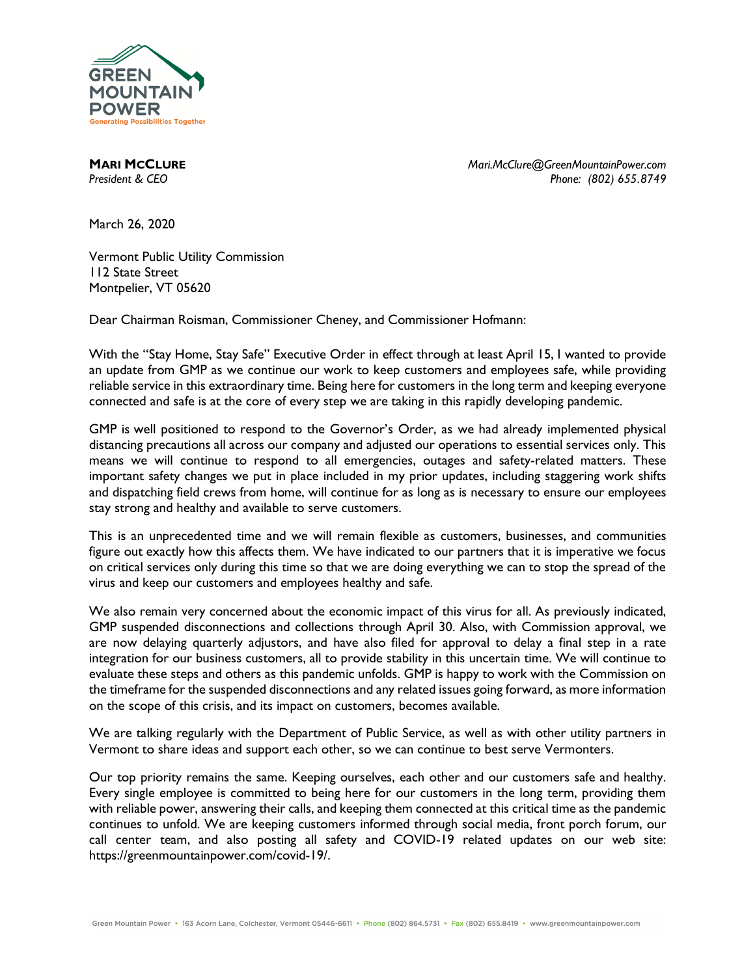

**MARI MCCLURE** *Mari.McClure@GreenMountainPower.com President & CEO Phone: (802) 655.8749*

March 26, 2020

Vermont Public Utility Commission 112 State Street Montpelier, VT 05620

Dear Chairman Roisman, Commissioner Cheney, and Commissioner Hofmann:

With the "Stay Home, Stay Safe" Executive Order in effect through at least April 15, I wanted to provide an update from GMP as we continue our work to keep customers and employees safe, while providing reliable service in this extraordinary time. Being here for customers in the long term and keeping everyone connected and safe is at the core of every step we are taking in this rapidly developing pandemic.

GMP is well positioned to respond to the Governor's Order, as we had already implemented physical distancing precautions all across our company and adjusted our operations to essential services only. This means we will continue to respond to all emergencies, outages and safety-related matters. These important safety changes we put in place included in my prior updates, including staggering work shifts and dispatching field crews from home, will continue for as long as is necessary to ensure our employees stay strong and healthy and available to serve customers.

This is an unprecedented time and we will remain flexible as customers, businesses, and communities figure out exactly how this affects them. We have indicated to our partners that it is imperative we focus on critical services only during this time so that we are doing everything we can to stop the spread of the virus and keep our customers and employees healthy and safe.

We also remain very concerned about the economic impact of this virus for all. As previously indicated, GMP suspended disconnections and collections through April 30. Also, with Commission approval, we are now delaying quarterly adjustors, and have also filed for approval to delay a final step in a rate integration for our business customers, all to provide stability in this uncertain time. We will continue to evaluate these steps and others as this pandemic unfolds. GMP is happy to work with the Commission on the timeframe for the suspended disconnections and any related issues going forward, as more information on the scope of this crisis, and its impact on customers, becomes available.

We are talking regularly with the Department of Public Service, as well as with other utility partners in Vermont to share ideas and support each other, so we can continue to best serve Vermonters.

Our top priority remains the same. Keeping ourselves, each other and our customers safe and healthy. Every single employee is committed to being here for our customers in the long term, providing them with reliable power, answering their calls, and keeping them connected at this critical time as the pandemic continues to unfold. We are keeping customers informed through social media, front porch forum, our call center team, and also posting all safety and COVID-19 related updates on our web site: https://greenmountainpower.com/covid-19/.